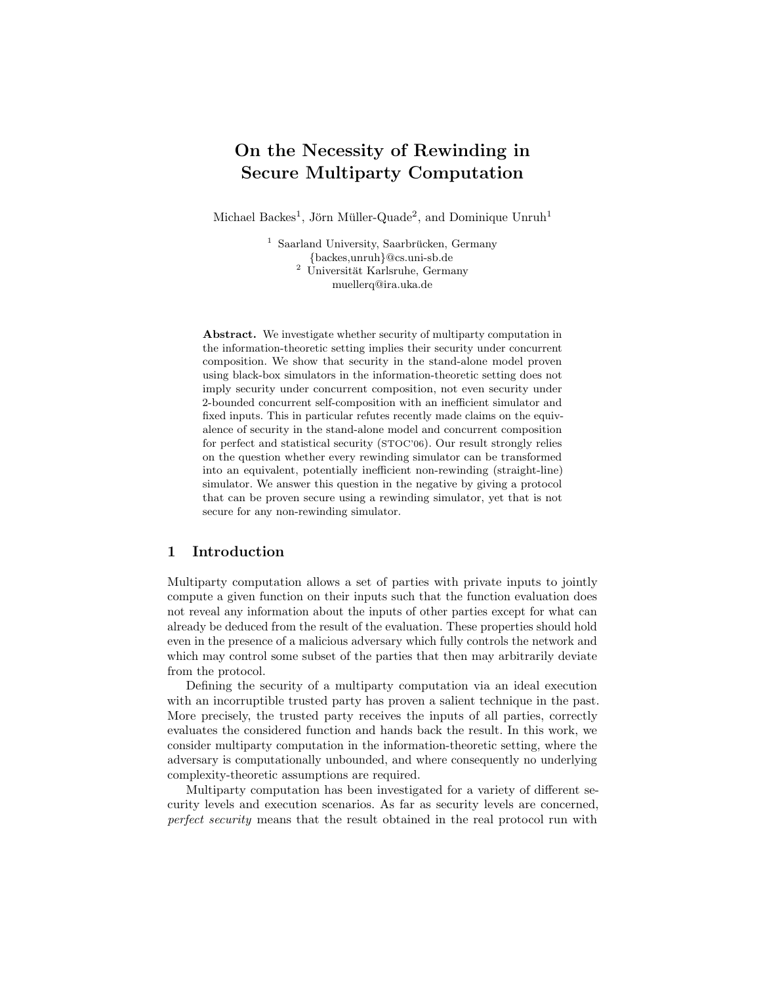# On the Necessity of Rewinding in Secure Multiparty Computation

Michael Backes<sup>1</sup>, Jörn Müller-Quade<sup>2</sup>, and Dominique Unruh<sup>1</sup>

 $<sup>1</sup>$  Saarland University, Saarbrücken, Germany</sup> {backes,unruh}@cs.uni-sb.de <sup>2</sup> Universität Karlsruhe, Germany muellerq@ira.uka.de

Abstract. We investigate whether security of multiparty computation in the information-theoretic setting implies their security under concurrent composition. We show that security in the stand-alone model proven using black-box simulators in the information-theoretic setting does not imply security under concurrent composition, not even security under 2-bounded concurrent self-composition with an inefficient simulator and fixed inputs. This in particular refutes recently made claims on the equivalence of security in the stand-alone model and concurrent composition for perfect and statistical security (STOC'06). Our result strongly relies on the question whether every rewinding simulator can be transformed into an equivalent, potentially inefficient non-rewinding (straight-line) simulator. We answer this question in the negative by giving a protocol that can be proven secure using a rewinding simulator, yet that is not secure for any non-rewinding simulator.

# 1 Introduction

Multiparty computation allows a set of parties with private inputs to jointly compute a given function on their inputs such that the function evaluation does not reveal any information about the inputs of other parties except for what can already be deduced from the result of the evaluation. These properties should hold even in the presence of a malicious adversary which fully controls the network and which may control some subset of the parties that then may arbitrarily deviate from the protocol.

Defining the security of a multiparty computation via an ideal execution with an incorruptible trusted party has proven a salient technique in the past. More precisely, the trusted party receives the inputs of all parties, correctly evaluates the considered function and hands back the result. In this work, we consider multiparty computation in the information-theoretic setting, where the adversary is computationally unbounded, and where consequently no underlying complexity-theoretic assumptions are required.

Multiparty computation has been investigated for a variety of different security levels and execution scenarios. As far as security levels are concerned, perfect security means that the result obtained in the real protocol run with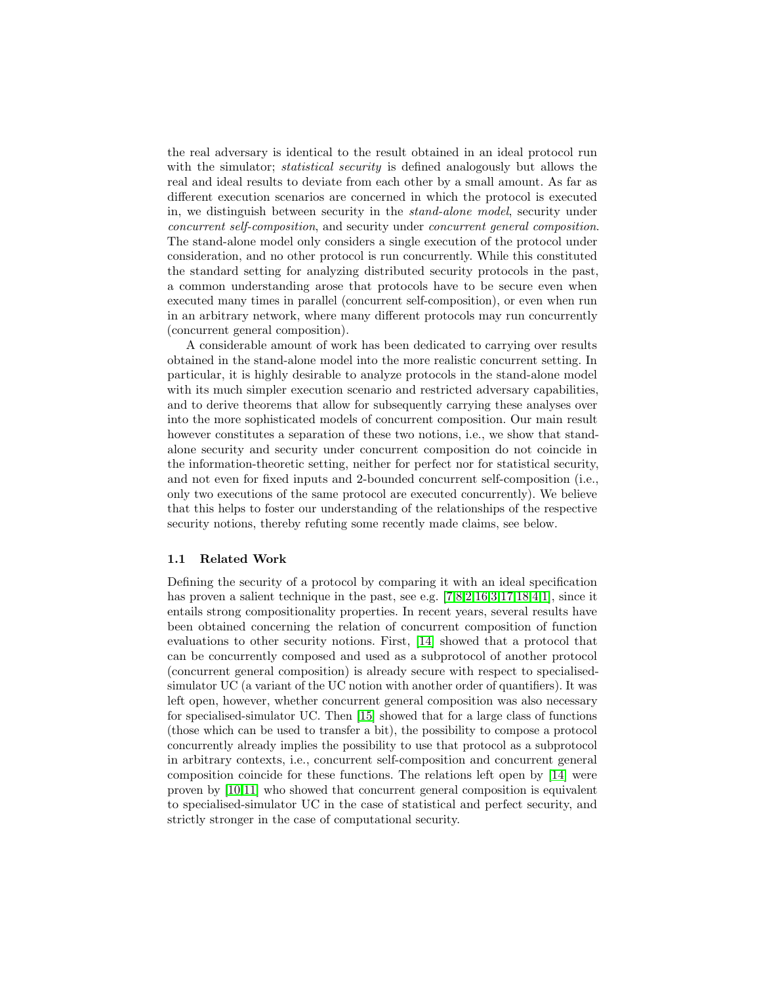the real adversary is identical to the result obtained in an ideal protocol run with the simulator; *statistical security* is defined analogously but allows the real and ideal results to deviate from each other by a small amount. As far as different execution scenarios are concerned in which the protocol is executed in, we distinguish between security in the stand-alone model, security under concurrent self-composition, and security under concurrent general composition. The stand-alone model only considers a single execution of the protocol under consideration, and no other protocol is run concurrently. While this constituted the standard setting for analyzing distributed security protocols in the past, a common understanding arose that protocols have to be secure even when executed many times in parallel (concurrent self-composition), or even when run in an arbitrary network, where many different protocols may run concurrently (concurrent general composition).

A considerable amount of work has been dedicated to carrying over results obtained in the stand-alone model into the more realistic concurrent setting. In particular, it is highly desirable to analyze protocols in the stand-alone model with its much simpler execution scenario and restricted adversary capabilities, and to derive theorems that allow for subsequently carrying these analyses over into the more sophisticated models of concurrent composition. Our main result however constitutes a separation of these two notions, i.e., we show that standalone security and security under concurrent composition do not coincide in the information-theoretic setting, neither for perfect nor for statistical security, and not even for fixed inputs and 2-bounded concurrent self-composition (i.e., only two executions of the same protocol are executed concurrently). We believe that this helps to foster our understanding of the relationships of the respective security notions, thereby refuting some recently made claims, see below.

#### 1.1 Related Work

Defining the security of a protocol by comparing it with an ideal specification has proven a salient technique in the past, see e.g. [\[7](#page-15-0)[,8,](#page-15-1)[2](#page-15-2)[,16](#page-16-0)[,3](#page-15-3)[,17,](#page-16-1)[18,](#page-16-2)[4](#page-15-4)[,1\]](#page-15-5), since it entails strong compositionality properties. In recent years, several results have been obtained concerning the relation of concurrent composition of function evaluations to other security notions. First, [[14](#page-16-3)] showed that a protocol that can be concurrently composed and used as a subprotocol of another protocol (concurrent general composition) is already secure with respect to specialisedsimulator UC (a variant of the UC notion with another order of quantifiers). It was left open, however, whether concurrent general composition was also necessary for specialised-simulator UC. Then [[15](#page-16-4)] showed that for a large class of functions (those which can be used to transfer a bit), the possibility to compose a protocol concurrently already implies the possibility to use that protocol as a subprotocol in arbitrary contexts, i.e., concurrent self-composition and concurrent general composition coincide for these functions. The relations left open by [[14](#page-16-3)] were proven by [[10](#page-15-6),[11](#page-15-7)] who showed that concurrent general composition is equivalent to specialised-simulator UC in the case of statistical and perfect security, and strictly stronger in the case of computational security.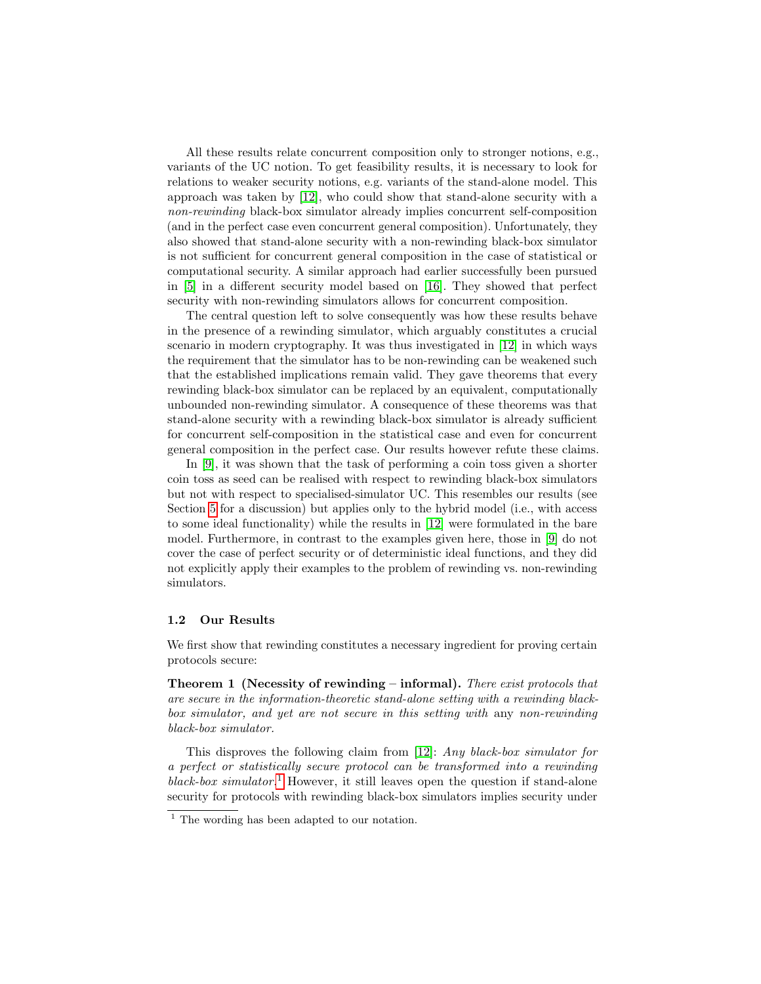All these results relate concurrent composition only to stronger notions, e.g., variants of the UC notion. To get feasibility results, it is necessary to look for relations to weaker security notions, e.g. variants of the stand-alone model. This approach was taken by [[12](#page-15-8)], who could show that stand-alone security with a non-rewinding black-box simulator already implies concurrent self-composition (and in the perfect case even concurrent general composition). Unfortunately, they also showed that stand-alone security with a non-rewinding black-box simulator is not sufficient for concurrent general composition in the case of statistical or computational security. A similar approach had earlier successfully been pursued in [[5](#page-15-9)] in a different security model based on [[16](#page-16-0)]. They showed that perfect security with non-rewinding simulators allows for concurrent composition.

The central question left to solve consequently was how these results behave in the presence of a rewinding simulator, which arguably constitutes a crucial scenario in modern cryptography. It was thus investigated in [[12](#page-15-8)] in which ways the requirement that the simulator has to be non-rewinding can be weakened such that the established implications remain valid. They gave theorems that every rewinding black-box simulator can be replaced by an equivalent, computationally unbounded non-rewinding simulator. A consequence of these theorems was that stand-alone security with a rewinding black-box simulator is already sufficient for concurrent self-composition in the statistical case and even for concurrent general composition in the perfect case. Our results however refute these claims.

In [[9](#page-15-10)], it was shown that the task of performing a coin toss given a shorter coin toss as seed can be realised with respect to rewinding black-box simulators but not with respect to specialised-simulator UC. This resembles our results (see Section [5](#page-13-0) for a discussion) but applies only to the hybrid model (i.e., with access to some ideal functionality) while the results in [[12](#page-15-8)] were formulated in the bare model. Furthermore, in contrast to the examples given here, those in [[9](#page-15-10)] do not cover the case of perfect security or of deterministic ideal functions, and they did not explicitly apply their examples to the problem of rewinding vs. non-rewinding simulators.

#### 1.2 Our Results

We first show that rewinding constitutes a necessary ingredient for proving certain protocols secure:

Theorem 1 (Necessity of rewinding – informal). There exist protocols that are secure in the information-theoretic stand-alone setting with a rewinding blackbox simulator, and yet are not secure in this setting with any non-rewinding black-box simulator.

This disproves the following claim from [[12](#page-15-8)]: Any black-box simulator for a perfect or statistically secure protocol can be transformed into a rewinding  $black-box simulator.<sup>1</sup>$  $black-box simulator.<sup>1</sup>$  $black-box simulator.<sup>1</sup>$  However, it still leaves open the question if stand-alone security for protocols with rewinding black-box simulators implies security under

<span id="page-2-0"></span><sup>&</sup>lt;sup>1</sup> The wording has been adapted to our notation.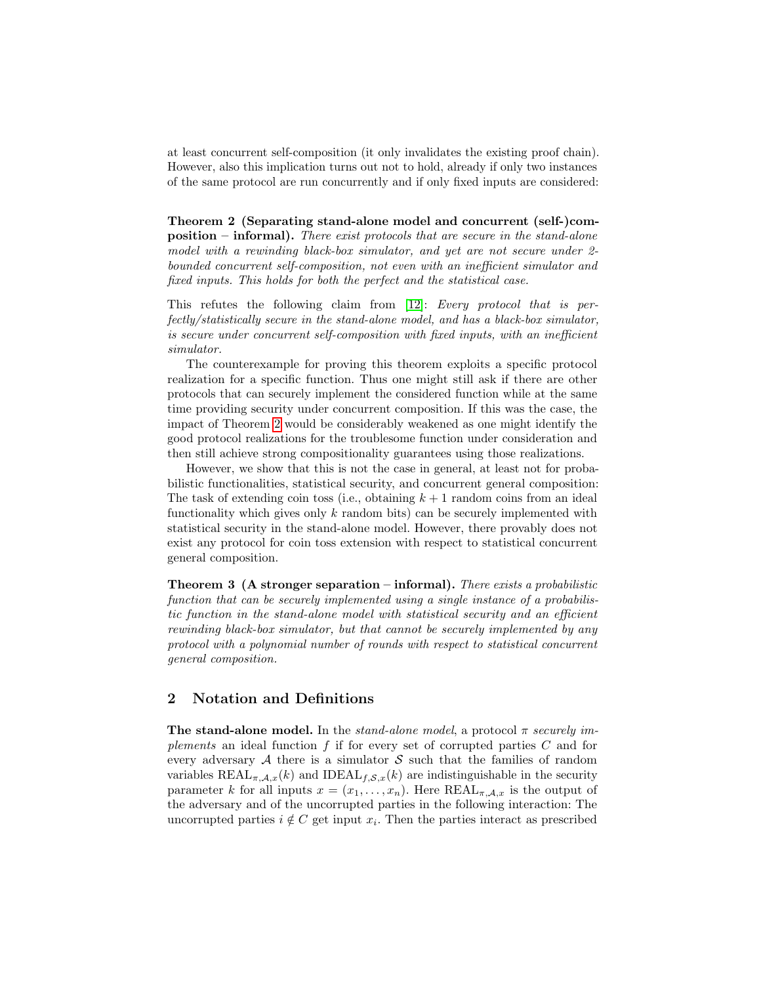at least concurrent self-composition (it only invalidates the existing proof chain). However, also this implication turns out not to hold, already if only two instances of the same protocol are run concurrently and if only fixed inputs are considered:

<span id="page-3-0"></span>Theorem 2 (Separating stand-alone model and concurrent (self-)composition – informal). There exist protocols that are secure in the stand-alone model with a rewinding black-box simulator, and yet are not secure under 2 bounded concurrent self-composition, not even with an inefficient simulator and fixed inputs. This holds for both the perfect and the statistical case.

This refutes the following claim from [[12](#page-15-8)]: Every protocol that is perfectly/statistically secure in the stand-alone model, and has a black-box simulator, is secure under concurrent self-composition with fixed inputs, with an inefficient simulator.

The counterexample for proving this theorem exploits a specific protocol realization for a specific function. Thus one might still ask if there are other protocols that can securely implement the considered function while at the same time providing security under concurrent composition. If this was the case, the impact of Theorem [2](#page-3-0) would be considerably weakened as one might identify the good protocol realizations for the troublesome function under consideration and then still achieve strong compositionality guarantees using those realizations.

However, we show that this is not the case in general, at least not for probabilistic functionalities, statistical security, and concurrent general composition: The task of extending coin toss (i.e., obtaining  $k + 1$  random coins from an ideal functionality which gives only  $k$  random bits) can be securely implemented with statistical security in the stand-alone model. However, there provably does not exist any protocol for coin toss extension with respect to statistical concurrent general composition.

**Theorem 3** (A stronger separation – informal). There exists a probabilistic function that can be securely implemented using a single instance of a probabilistic function in the stand-alone model with statistical security and an efficient rewinding black-box simulator, but that cannot be securely implemented by any protocol with a polynomial number of rounds with respect to statistical concurrent general composition.

## 2 Notation and Definitions

The stand-alone model. In the stand-alone model, a protocol  $\pi$  securely implements an ideal function  $f$  if for every set of corrupted parties  $C$  and for every adversary  $A$  there is a simulator  $S$  such that the families of random variables REAL<sub>π, $A,x(k)$ </sub> and IDEAL<sub>f, $S,x(k)$ </sub> are indistinguishable in the security parameter k for all inputs  $x = (x_1, \ldots, x_n)$ . Here  $REAL_{\pi,\mathcal{A},x}$  is the output of the adversary and of the uncorrupted parties in the following interaction: The uncorrupted parties  $i \notin C$  get input  $x_i$ . Then the parties interact as prescribed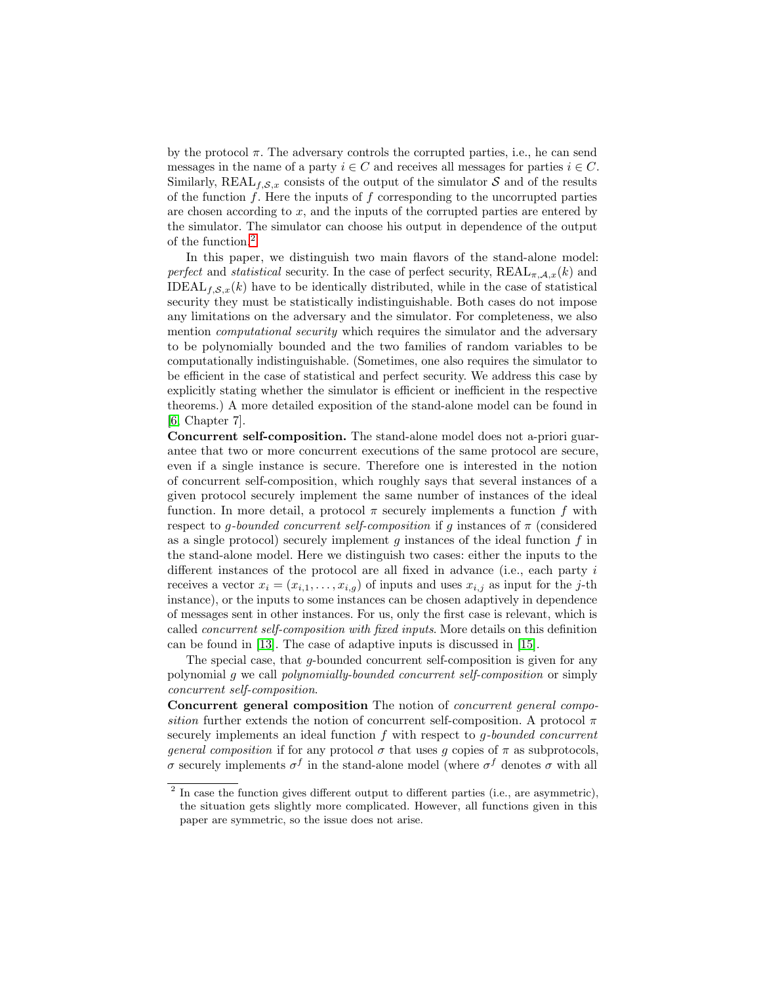by the protocol  $\pi$ . The adversary controls the corrupted parties, i.e., he can send messages in the name of a party  $i \in C$  and receives all messages for parties  $i \in C$ . Similarly, REAL $_{f,\mathcal{S},x}$  consists of the output of the simulator S and of the results of the function  $f$ . Here the inputs of  $f$  corresponding to the uncorrupted parties are chosen according to  $x$ , and the inputs of the corrupted parties are entered by the simulator. The simulator can choose his output in dependence of the output of the function.[2](#page-4-0)

In this paper, we distinguish two main flavors of the stand-alone model: perfect and statistical security. In the case of perfect security,  $REAL_{\pi,A,x}(k)$  and IDEAL $_{f,\mathcal{S},x}(k)$  have to be identically distributed, while in the case of statistical security they must be statistically indistinguishable. Both cases do not impose any limitations on the adversary and the simulator. For completeness, we also mention *computational security* which requires the simulator and the adversary to be polynomially bounded and the two families of random variables to be computationally indistinguishable. (Sometimes, one also requires the simulator to be efficient in the case of statistical and perfect security. We address this case by explicitly stating whether the simulator is efficient or inefficient in the respective theorems.) A more detailed exposition of the stand-alone model can be found in [\[6,](#page-15-11) Chapter 7].

Concurrent self-composition. The stand-alone model does not a-priori guarantee that two or more concurrent executions of the same protocol are secure, even if a single instance is secure. Therefore one is interested in the notion of concurrent self-composition, which roughly says that several instances of a given protocol securely implement the same number of instances of the ideal function. In more detail, a protocol  $\pi$  securely implements a function f with respect to g-bounded concurrent self-composition if g instances of  $\pi$  (considered as a single protocol) securely implement g instances of the ideal function  $f$  in the stand-alone model. Here we distinguish two cases: either the inputs to the different instances of the protocol are all fixed in advance (i.e., each party i receives a vector  $x_i = (x_{i,1}, \ldots, x_{i,g})$  of inputs and uses  $x_{i,j}$  as input for the j-th instance), or the inputs to some instances can be chosen adaptively in dependence of messages sent in other instances. For us, only the first case is relevant, which is called concurrent self-composition with fixed inputs. More details on this definition can be found in [\[13\]](#page-16-5). The case of adaptive inputs is discussed in [\[15\]](#page-16-4).

The special case, that g-bounded concurrent self-composition is given for any polynomial g we call polynomially-bounded concurrent self-composition or simply concurrent self-composition.

Concurrent general composition The notion of concurrent general composition further extends the notion of concurrent self-composition. A protocol  $\pi$ securely implements an ideal function f with respect to g-bounded concurrent *general composition* if for any protocol  $\sigma$  that uses g copies of  $\pi$  as subprotocols, σ securely implements  $\sigma^f$  in the stand-alone model (where  $\sigma^f$  denotes σ with all

<span id="page-4-0"></span> $2$  In case the function gives different output to different parties (i.e., are asymmetric), the situation gets slightly more complicated. However, all functions given in this paper are symmetric, so the issue does not arise.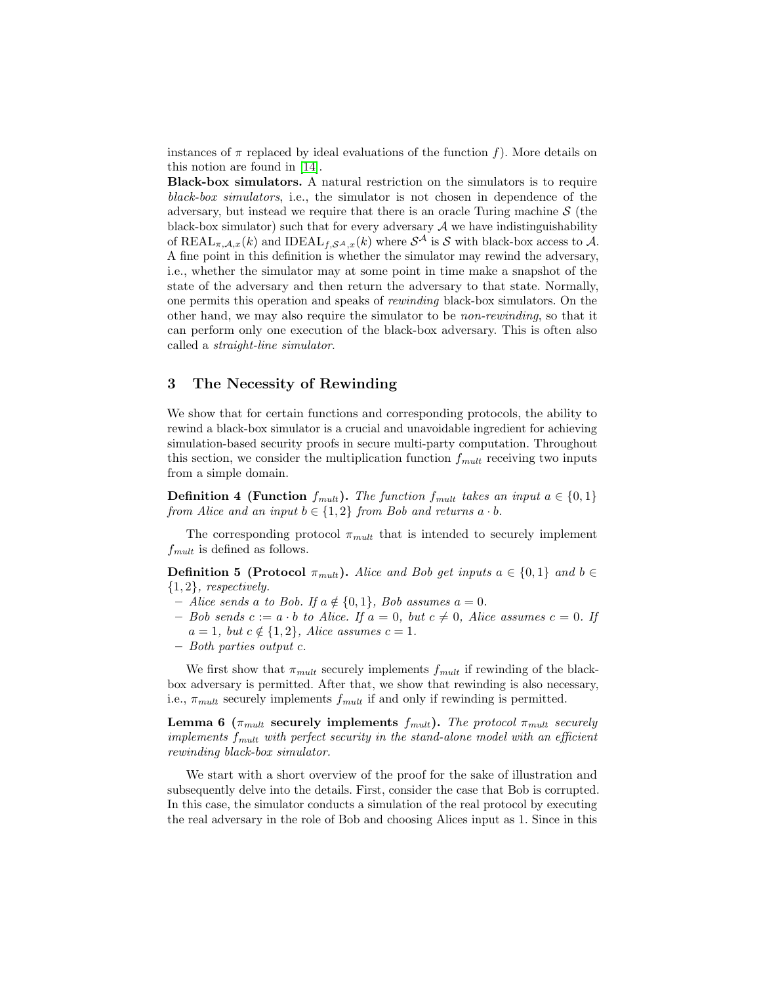instances of  $\pi$  replaced by ideal evaluations of the function f). More details on this notion are found in [\[14\]](#page-16-3).

Black-box simulators. A natural restriction on the simulators is to require black-box simulators, i.e., the simulator is not chosen in dependence of the adversary, but instead we require that there is an oracle Turing machine  $S$  (the black-box simulator) such that for every adversary  $A$  we have indistinguishability of  $\text{REAL}_{\pi,\mathcal{A},x}(k)$  and  $\text{IDEAL}_{f,\mathcal{S}^{\mathcal{A}},x}(k)$  where  $\mathcal{S}^{\mathcal{A}}$  is  $\mathcal{S}$  with black-box access to  $\mathcal{A}$ . A fine point in this definition is whether the simulator may rewind the adversary, i.e., whether the simulator may at some point in time make a snapshot of the state of the adversary and then return the adversary to that state. Normally, one permits this operation and speaks of rewinding black-box simulators. On the other hand, we may also require the simulator to be non-rewinding, so that it can perform only one execution of the black-box adversary. This is often also called a straight-line simulator.

## 3 The Necessity of Rewinding

We show that for certain functions and corresponding protocols, the ability to rewind a black-box simulator is a crucial and unavoidable ingredient for achieving simulation-based security proofs in secure multi-party computation. Throughout this section, we consider the multiplication function  $f_{mult}$  receiving two inputs from a simple domain.

**Definition 4 (Function**  $f_{mult}$ ). The function  $f_{mult}$  takes an input  $a \in \{0,1\}$ from Alice and an input  $b \in \{1,2\}$  from Bob and returns  $a \cdot b$ .

The corresponding protocol  $\pi_{mult}$  that is intended to securely implement  $f_{mult}$  is defined as follows.

**Definition 5 (Protocol**  $\pi_{mult}$ ). Alice and Bob get inputs  $a \in \{0,1\}$  and  $b \in$  ${1, 2}$ , respectively.

- $-$  Alice sends a to Bob. If  $a \notin \{0, 1\}$ , Bob assumes  $a = 0$ .
- Bob sends  $c := a \cdot b$  to Alice. If  $a = 0$ , but  $c \neq 0$ , Alice assumes  $c = 0$ . If  $a = 1$ , but  $c \notin \{1, 2\}$ , Alice assumes  $c = 1$ .
- <span id="page-5-0"></span>– Both parties output c.

We first show that  $\pi_{mult}$  securely implements  $f_{mult}$  if rewinding of the blackbox adversary is permitted. After that, we show that rewinding is also necessary, i.e.,  $\pi_{mult}$  securely implements  $f_{mult}$  if and only if rewinding is permitted.

Lemma 6 ( $\pi_{mult}$  securely implements  $f_{mult}$ ). The protocol  $\pi_{mult}$  securely implements  $f_{mult}$  with perfect security in the stand-alone model with an efficient rewinding black-box simulator.

We start with a short overview of the proof for the sake of illustration and subsequently delve into the details. First, consider the case that Bob is corrupted. In this case, the simulator conducts a simulation of the real protocol by executing the real adversary in the role of Bob and choosing Alices input as 1. Since in this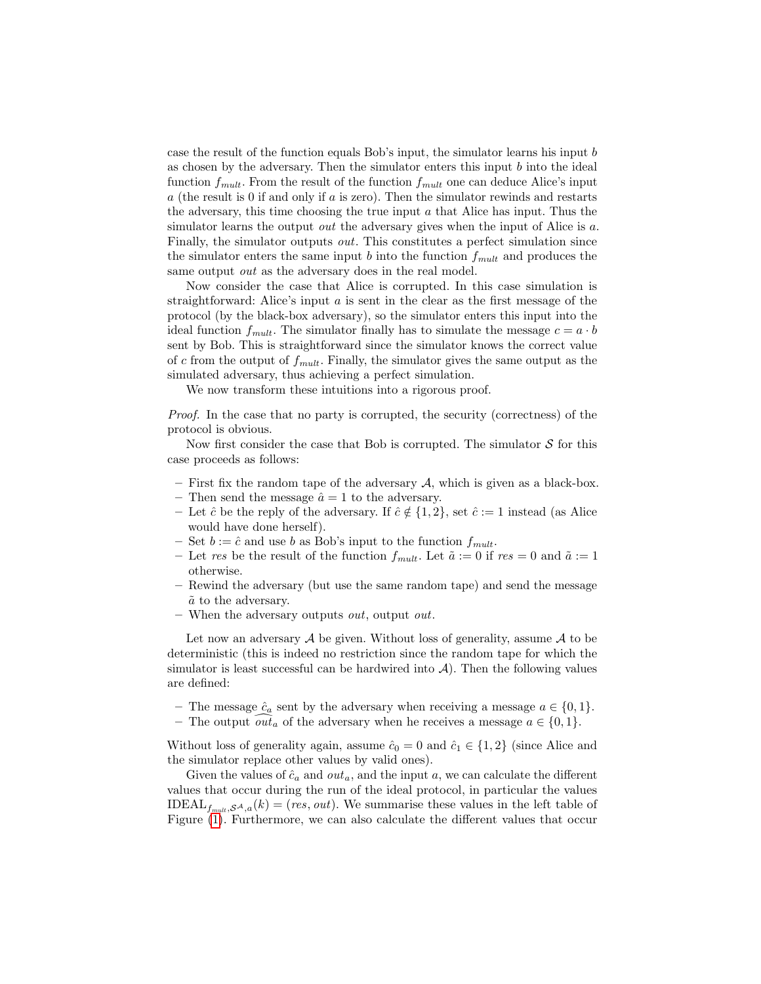case the result of the function equals Bob's input, the simulator learns his input  $b$ as chosen by the adversary. Then the simulator enters this input  $b$  into the ideal function  $f_{mult}$ . From the result of the function  $f_{mult}$  one can deduce Alice's input  $a$  (the result is 0 if and only if  $a$  is zero). Then the simulator rewinds and restarts the adversary, this time choosing the true input  $\alpha$  that Alice has input. Thus the simulator learns the output *out* the adversary gives when the input of Alice is  $a$ . Finally, the simulator outputs out. This constitutes a perfect simulation since the simulator enters the same input b into the function  $f_{mult}$  and produces the same output *out* as the adversary does in the real model.

Now consider the case that Alice is corrupted. In this case simulation is straightforward: Alice's input  $a$  is sent in the clear as the first message of the protocol (by the black-box adversary), so the simulator enters this input into the ideal function  $f_{mult}$ . The simulator finally has to simulate the message  $c = a \cdot b$ sent by Bob. This is straightforward since the simulator knows the correct value of c from the output of  $f_{mult}$ . Finally, the simulator gives the same output as the simulated adversary, thus achieving a perfect simulation.

We now transform these intuitions into a rigorous proof.

Proof. In the case that no party is corrupted, the security (correctness) of the protocol is obvious.

Now first consider the case that Bob is corrupted. The simulator  $S$  for this case proceeds as follows:

- First fix the random tape of the adversary  $A$ , which is given as a black-box.
- Then send the message  $\hat{a} = 1$  to the adversary.
- Let  $\hat{c}$  be the reply of the adversary. If  $\hat{c} \notin \{1, 2\}$ , set  $\hat{c} := 1$  instead (as Alice would have done herself).
- Set  $b := \hat{c}$  and use b as Bob's input to the function  $f_{mult}$ .
- Let res be the result of the function  $f_{mult}$ . Let  $\tilde{a} := 0$  if res = 0 and  $\tilde{a} := 1$ otherwise.
- Rewind the adversary (but use the same random tape) and send the message  $\tilde{a}$  to the adversary.
- When the adversary outputs *out*, output *out*.

Let now an adversary  $\mathcal A$  be given. Without loss of generality, assume  $\mathcal A$  to be deterministic (this is indeed no restriction since the random tape for which the simulator is least successful can be hardwired into  $A$ ). Then the following values are defined:

- The message  $\hat{c}_a$  sent by the adversary when receiving a message  $a \in \{0, 1\}.$
- The output  $out_a$  of the adversary when he receives a message  $a \in \{0, 1\}$ .

Without loss of generality again, assume  $\hat{c}_0 = 0$  and  $\hat{c}_1 \in \{1,2\}$  (since Alice and the simulator replace other values by valid ones).

Given the values of  $\hat{c}_a$  and  $out_a$ , and the input a, we can calculate the different values that occur during the run of the ideal protocol, in particular the values IDEAL<sub>fmult</sub>,  $S_{A,a}(k) = (res, out)$ . We summarise these values in the left table of Figure [\(1\)](#page-7-0). Furthermore, we can also calculate the different values that occur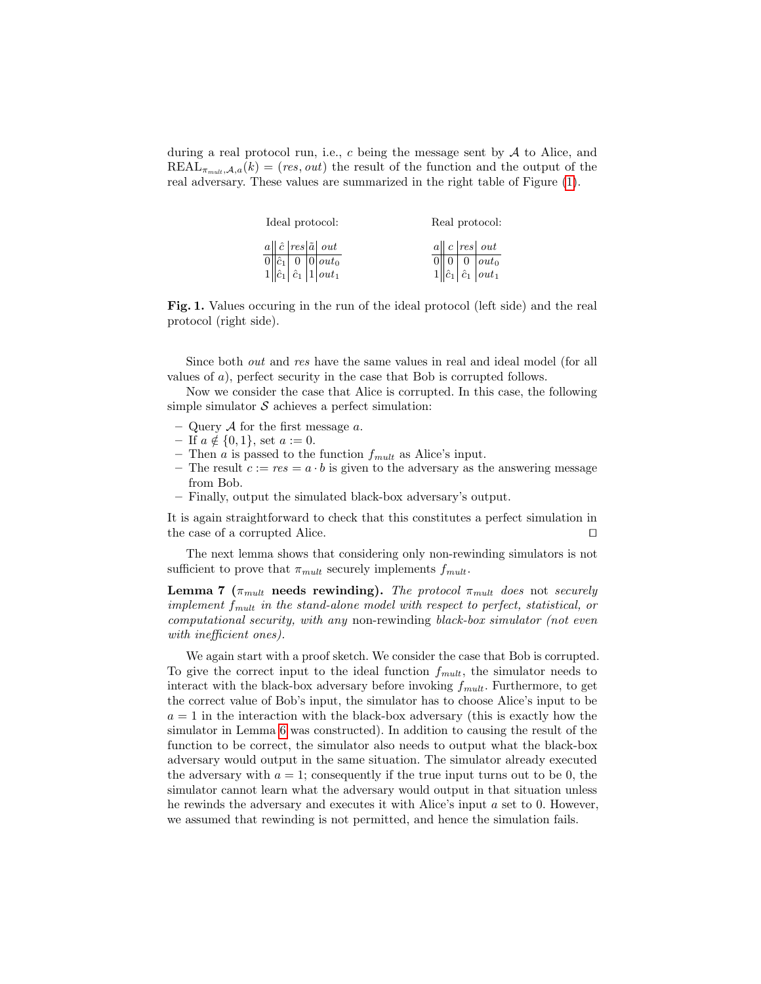during a real protocol run, i.e., c being the message sent by  $A$  to Alice, and  $REAL_{\pi_{mult},\mathcal{A},a}(k) = (res, out)$  the result of the function and the output of the real adversary. These values are summarized in the right table of Figure [\(1\)](#page-7-0).

| Ideal protocol: |  |  |  |                                                                                                                                                     |  | Real protocol: |  |  |  |                                                                                  |
|-----------------|--|--|--|-----------------------------------------------------------------------------------------------------------------------------------------------------|--|----------------|--|--|--|----------------------------------------------------------------------------------|
|                 |  |  |  | $a\parallel \hat{c}$   res  $\tilde{a}$   out                                                                                                       |  |                |  |  |  | $a  c $ res   out                                                                |
|                 |  |  |  | $\begin{array}{c c c} \hline 0 & \hat{c}_1 & 0 & 0 \\ \hline 1 & \hat{c}_1 & \hat{c}_1 & 1 \end{array} \begin{array}{c} out_0 \\ out_1 \end{array}$ |  |                |  |  |  | $\begin{array}{c c c} 0 & 0 & out_0 \\ \hline 1 & \hat{c}_1 & out_1 \end{array}$ |
|                 |  |  |  |                                                                                                                                                     |  |                |  |  |  |                                                                                  |

<span id="page-7-0"></span>Fig. 1. Values occuring in the run of the ideal protocol (left side) and the real protocol (right side).

Since both out and res have the same values in real and ideal model (for all values of a), perfect security in the case that Bob is corrupted follows.

Now we consider the case that Alice is corrupted. In this case, the following simple simulator  $S$  achieves a perfect simulation:

- Query  $A$  for the first message  $a$ .
- If  $a \notin \{0, 1\}$ , set  $a := 0$ .
- Then a is passed to the function  $f_{mult}$  as Alice's input.
- The result  $c := res = a \cdot b$  is given to the adversary as the answering message from Bob.
- Finally, output the simulated black-box adversary's output.

It is again straightforward to check that this constitutes a perfect simulation in the case of a corrupted Alice.  $\Box$ 

The next lemma shows that considering only non-rewinding simulators is not sufficient to prove that  $\pi_{mult}$  securely implements  $f_{mult}$ .

<span id="page-7-1"></span>Lemma 7 ( $\pi_{mult}$  needs rewinding). The protocol  $\pi_{mult}$  does not securely implement  $f_{mult}$  in the stand-alone model with respect to perfect, statistical, or computational security, with any non-rewinding black-box simulator (not even with inefficient ones).

We again start with a proof sketch. We consider the case that Bob is corrupted. To give the correct input to the ideal function  $f_{mult}$ , the simulator needs to interact with the black-box adversary before invoking  $f_{mult}$ . Furthermore, to get the correct value of Bob's input, the simulator has to choose Alice's input to be  $a = 1$  in the interaction with the black-box adversary (this is exactly how the simulator in Lemma [6](#page-5-0) was constructed). In addition to causing the result of the function to be correct, the simulator also needs to output what the black-box adversary would output in the same situation. The simulator already executed the adversary with  $a = 1$ ; consequently if the true input turns out to be 0, the simulator cannot learn what the adversary would output in that situation unless he rewinds the adversary and executes it with Alice's input a set to 0. However, we assumed that rewinding is not permitted, and hence the simulation fails.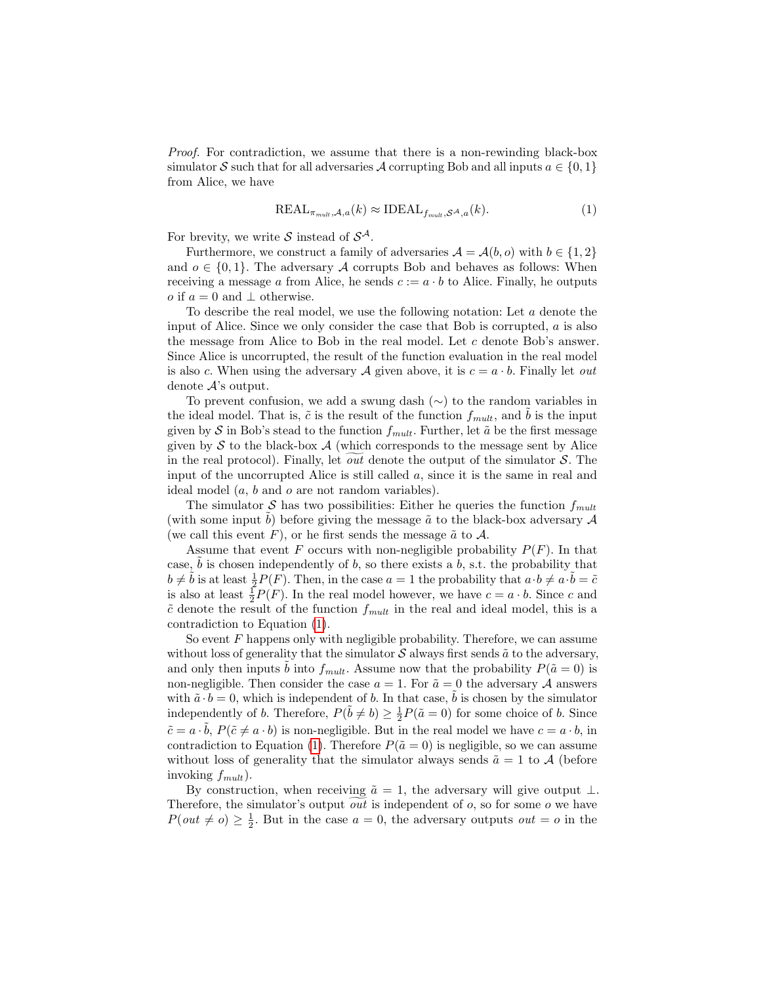Proof. For contradiction, we assume that there is a non-rewinding black-box simulator S such that for all adversaries A corrupting Bob and all inputs  $a \in \{0, 1\}$ from Alice, we have

<span id="page-8-0"></span>
$$
REAL_{\pi_{mult},\mathcal{A},a}(k) \approx IDEAL_{f_{mult},\mathcal{S}^{\mathcal{A}},a}(k). \tag{1}
$$

For brevity, we write S instead of  $S^{\mathcal{A}}$ .

Furthermore, we construct a family of adversaries  $\mathcal{A} = \mathcal{A}(b, o)$  with  $b \in \{1, 2\}$ and  $o \in \{0,1\}$ . The adversary A corrupts Bob and behaves as follows: When receiving a message a from Alice, he sends  $c := a \cdot b$  to Alice. Finally, he outputs o if  $a = 0$  and  $\perp$  otherwise.

To describe the real model, we use the following notation: Let a denote the input of Alice. Since we only consider the case that Bob is corrupted, a is also the message from Alice to Bob in the real model. Let  $c$  denote Bob's answer. Since Alice is uncorrupted, the result of the function evaluation in the real model is also c. When using the adversary A given above, it is  $c = a \cdot b$ . Finally let out denote  $\mathcal{A}$ 's output.

To prevent confusion, we add a swung dash (∼) to the random variables in the ideal model. That is,  $\tilde{c}$  is the result of the function  $f_{mult}$ , and b is the input given by S in Bob's stead to the function  $f_{mult}$ . Further, let  $\tilde{a}$  be the first message given by  $\mathcal S$  to the black-box  $\mathcal A$  (which corresponds to the message sent by Alice in the real protocol). Finally, let  $\overline{out}$  denote the output of the simulator S. The input of the uncorrupted Alice is still called  $a$ , since it is the same in real and ideal model  $(a, b \text{ and } o \text{ are not random variables}).$ 

The simulator S has two possibilities: Either he queries the function  $f_{mult}$ (with some input b) before giving the message  $\tilde{a}$  to the black-box adversary  $A$ (we call this event F), or he first sends the message  $\tilde{a}$  to  $\mathcal{A}$ .

Assume that event F occurs with non-negligible probability  $P(F)$ . In that case,  $b$  is chosen independently of  $b$ , so there exists a  $b$ , s.t. the probability that  $b \neq \tilde{b}$  is at least  $\frac{1}{2}P(F)$ . Then, in the case  $a = 1$  the probability that  $a \cdot b \neq a \cdot \tilde{b} = \tilde{c}$ is also at least  $\frac{1}{2}P(F)$ . In the real model however, we have  $c = a \cdot b$ . Since c and  $\tilde{c}$  denote the result of the function  $f_{mult}$  in the real and ideal model, this is a contradiction to Equation [\(1\)](#page-8-0).

So event  $F$  happens only with negligible probability. Therefore, we can assume without loss of generality that the simulator  $S$  always first sends  $\tilde{a}$  to the adversary, and only then inputs b into  $f_{mult}$ . Assume now that the probability  $P(\tilde{a} = 0)$  is non-negligible. Then consider the case  $a = 1$ . For  $\tilde{a} = 0$  the adversary A answers with  $\tilde{a} \cdot b = 0$ , which is independent of b. In that case, b is chosen by the simulator independently of b. Therefore,  $P(\tilde{b} \neq b) \geq \frac{1}{2}P(\tilde{a} = 0)$  for some choice of b. Since  $\tilde{c} = a \cdot \tilde{b}$ ,  $P(\tilde{c} \neq a \cdot b)$  is non-negligible. But in the real model we have  $c = a \cdot b$ , in contradiction to Equation [\(1\)](#page-8-0). Therefore  $P(\tilde{a}=0)$  is negligible, so we can assume without loss of generality that the simulator always sends  $\tilde{a} = 1$  to A (before invoking  $f_{mult}$ ).

By construction, when receiving  $\tilde{a} = 1$ , the adversary will give output  $\perp$ . Therefore, the simulator's output *out* is independent of  $o$ , so for some  $o$  we have  $P(out \neq o) \geq \frac{1}{2}$ . But in the case  $a = 0$ , the adversary outputs  $out = o$  in the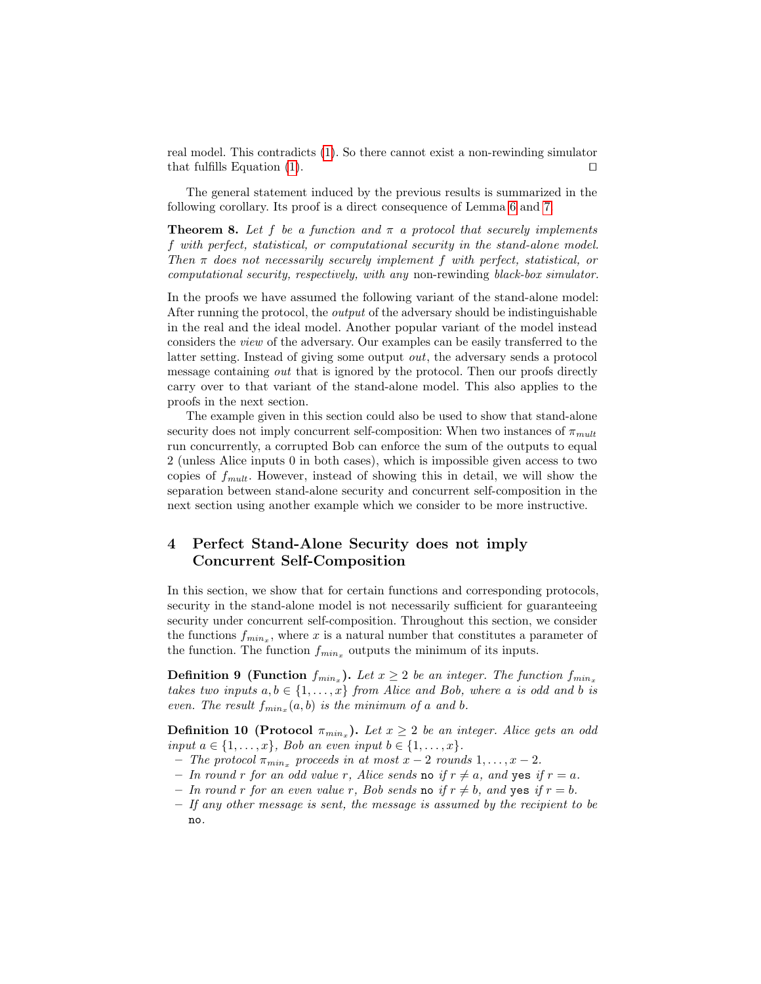real model. This contradicts [\(1\)](#page-8-0). So there cannot exist a non-rewinding simulator that fulfills Equation [\(1\)](#page-8-0).  $\Box$ 

The general statement induced by the previous results is summarized in the following corollary. Its proof is a direct consequence of Lemma [6](#page-5-0) and [7.](#page-7-1)

**Theorem 8.** Let f be a function and  $\pi$  a protocol that securely implements f with perfect, statistical, or computational security in the stand-alone model. Then  $\pi$  does not necessarily securely implement f with perfect, statistical, or computational security, respectively, with any non-rewinding black-box simulator.

In the proofs we have assumed the following variant of the stand-alone model: After running the protocol, the output of the adversary should be indistinguishable in the real and the ideal model. Another popular variant of the model instead considers the view of the adversary. Our examples can be easily transferred to the latter setting. Instead of giving some output out, the adversary sends a protocol message containing *out* that is ignored by the protocol. Then our proofs directly carry over to that variant of the stand-alone model. This also applies to the proofs in the next section.

The example given in this section could also be used to show that stand-alone security does not imply concurrent self-composition: When two instances of  $\pi_{mult}$ run concurrently, a corrupted Bob can enforce the sum of the outputs to equal 2 (unless Alice inputs 0 in both cases), which is impossible given access to two copies of  $f_{mult}$ . However, instead of showing this in detail, we will show the separation between stand-alone security and concurrent self-composition in the next section using another example which we consider to be more instructive.

# 4 Perfect Stand-Alone Security does not imply Concurrent Self-Composition

In this section, we show that for certain functions and corresponding protocols, security in the stand-alone model is not necessarily sufficient for guaranteeing security under concurrent self-composition. Throughout this section, we consider the functions  $f_{min_x}$ , where x is a natural number that constitutes a parameter of the function. The function  $f_{min_x}$  outputs the minimum of its inputs.

**Definition 9** (Function  $f_{min_x}$ ). Let  $x \geq 2$  be an integer. The function  $f_{min_x}$ takes two inputs  $a, b \in \{1, ..., x\}$  from Alice and Bob, where a is odd and b is even. The result  $f_{min_x}(a, b)$  is the minimum of a and b.

**Definition 10 (Protocol**  $\pi_{min_x}$ ). Let  $x \geq 2$  be an integer. Alice gets an odd input  $a \in \{1, \ldots, x\}$ , Bob an even input  $b \in \{1, \ldots, x\}$ .

- $−$  The protocol π<sub>min<sub>x</sub></sub> proceeds in at most  $x 2$  rounds  $1, \ldots, x 2$ .
- In round r for an odd value r, Alice sends no if  $r \neq a$ , and yes if  $r = a$ .
- In round r for an even value r, Bob sends no if  $r \neq b$ , and yes if  $r = b$ .
- If any other message is sent, the message is assumed by the recipient to be no.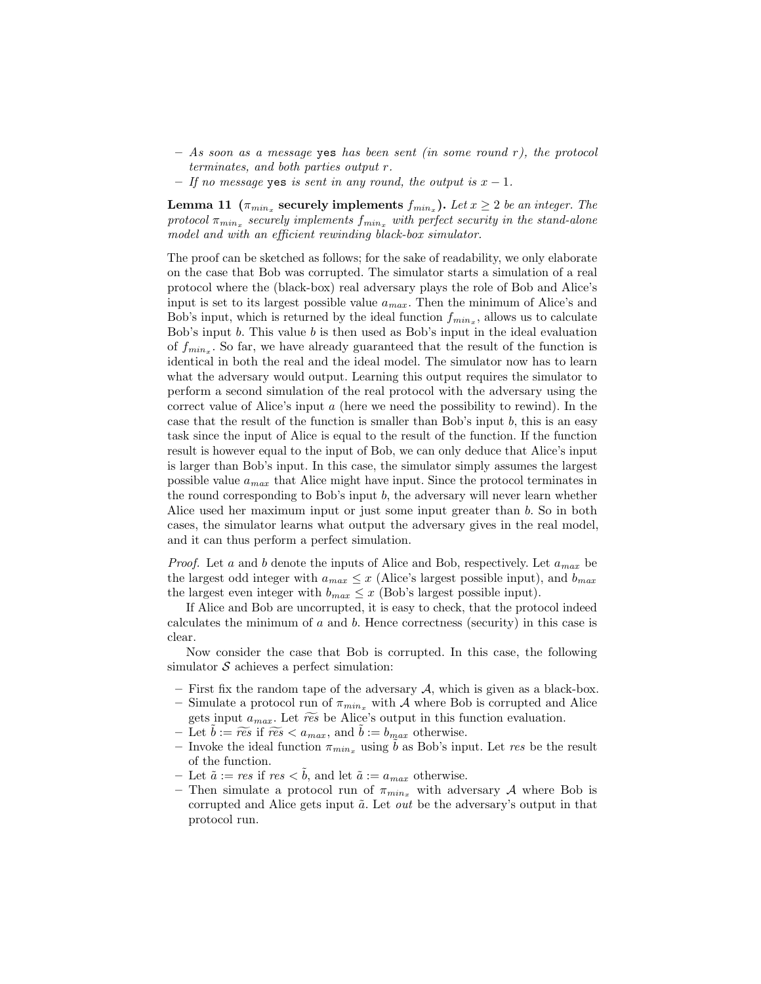- $-$  As soon as a message yes has been sent (in some round r), the protocol terminates, and both parties output r.
- $−$  If no message yes is sent in any round, the output is  $x 1$ .

<span id="page-10-0"></span>Lemma 11 ( $\pi_{min_x}$  securely implements  $f_{min_x}$ ). Let  $x \geq 2$  be an integer. The protocol  $\pi_{min_x}$  securely implements  $f_{min_x}$  with perfect security in the stand-alone model and with an efficient rewinding black-box simulator.

The proof can be sketched as follows; for the sake of readability, we only elaborate on the case that Bob was corrupted. The simulator starts a simulation of a real protocol where the (black-box) real adversary plays the role of Bob and Alice's input is set to its largest possible value  $a_{max}$ . Then the minimum of Alice's and Bob's input, which is returned by the ideal function  $f_{min_x}$ , allows us to calculate Bob's input b. This value b is then used as Bob's input in the ideal evaluation of  $f_{min_x}$ . So far, we have already guaranteed that the result of the function is identical in both the real and the ideal model. The simulator now has to learn what the adversary would output. Learning this output requires the simulator to perform a second simulation of the real protocol with the adversary using the correct value of Alice's input a (here we need the possibility to rewind). In the case that the result of the function is smaller than Bob's input  $b$ , this is an easy task since the input of Alice is equal to the result of the function. If the function result is however equal to the input of Bob, we can only deduce that Alice's input is larger than Bob's input. In this case, the simulator simply assumes the largest possible value  $a_{max}$  that Alice might have input. Since the protocol terminates in the round corresponding to Bob's input  $b$ , the adversary will never learn whether Alice used her maximum input or just some input greater than b. So in both cases, the simulator learns what output the adversary gives in the real model, and it can thus perform a perfect simulation.

*Proof.* Let a and b denote the inputs of Alice and Bob, respectively. Let  $a_{max}$  be the largest odd integer with  $a_{max} \leq x$  (Alice's largest possible input), and  $b_{max}$ the largest even integer with  $b_{max} \leq x$  (Bob's largest possible input).

If Alice and Bob are uncorrupted, it is easy to check, that the protocol indeed calculates the minimum of  $a$  and  $b$ . Hence correctness (security) in this case is clear.

Now consider the case that Bob is corrupted. In this case, the following simulator  $S$  achieves a perfect simulation:

- First fix the random tape of the adversary  $A$ , which is given as a black-box.
- Simulate a protocol run of  $\pi_{min_x}$  with A where Bob is corrupted and Alice gets input  $a_{max}$ . Let  $\widetilde{res}$  be Alice's output in this function evaluation.
- Let  $b := \widetilde{res}$  if  $\widetilde{res} < a_{max}$ , and  $b := b_{max}$  otherwise.
- Invoke the ideal function  $\pi_{min_{\alpha}}$  using  $\tilde{b}$  as Bob's input. Let res be the result of the function.
- Let  $\tilde{a} := res$  if  $res < b$ , and let  $\tilde{a} := a_{max}$  otherwise.
- Then simulate a protocol run of  $\pi_{min_x}$  with adversary A where Bob is corrupted and Alice gets input  $\tilde{a}$ . Let *out* be the adversary's output in that protocol run.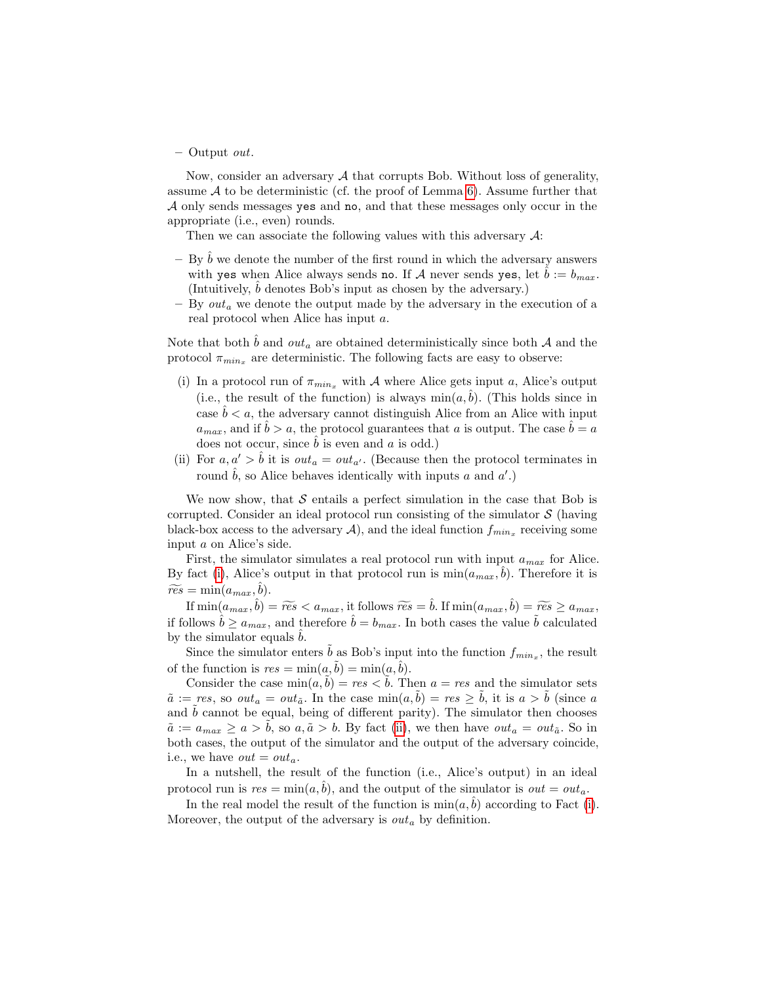$-$  Output *out*.

Now, consider an adversary  $A$  that corrupts Bob. Without loss of generality, assume  $A$  to be deterministic (cf. the proof of Lemma [6\)](#page-5-0). Assume further that A only sends messages yes and no, and that these messages only occur in the appropriate (i.e., even) rounds.

Then we can associate the following values with this adversary  $\mathcal{A}$ :

- By  $\hat{b}$  we denote the number of the first round in which the adversary answers with yes when Alice always sends no. If A never sends yes, let  $b := b_{max}$ .  $(Intuitively, b denotes Bob's input as chosen by the adversary.)$
- By  $out_a$  we denote the output made by the adversary in the execution of a real protocol when Alice has input a.

Note that both b and out<sub>a</sub> are obtained deterministically since both  $A$  and the protocol  $\pi_{min_x}$  are deterministic. The following facts are easy to observe:

- <span id="page-11-0"></span>(i) In a protocol run of  $\pi_{min_x}$  with A where Alice gets input a, Alice's output (i.e., the result of the function) is always  $\min(a, b)$ . (This holds since in case  $\hat{b} \leq a$ , the adversary cannot distinguish Alice from an Alice with input  $a_{max}$ , and if  $\hat{b} > a$ , the protocol guarantees that a is output. The case  $\hat{b} = a$ does not occur, since  $\hat{b}$  is even and a is odd.)
- <span id="page-11-1"></span>(ii) For  $a, a' > \hat{b}$  it is  $out_a = out_{a'}$ . (Because then the protocol terminates in round  $\hat{b}$ , so Alice behaves identically with inputs a and  $a'$ .)

We now show, that  $S$  entails a perfect simulation in the case that Bob is corrupted. Consider an ideal protocol run consisting of the simulator  $S$  (having black-box access to the adversary  $\mathcal{A}$ ), and the ideal function  $f_{min_x}$  receiving some input a on Alice's side.

First, the simulator simulates a real protocol run with input  $a_{max}$  for Alice. By fact [\(i\)](#page-11-0), Alice's output in that protocol run is  $\min(a_{max}, \hat{b})$ . Therefore it is  $\widetilde{res} = \min(a_{max}, \hat{b}).$ <br> **If**  $\min(a_{max}, \hat{b}).$ 

If  $\min(a_{max}, \hat{b}) = \widetilde{res} < a_{max}$ , it follows  $\widetilde{res} = \hat{b}$ . If  $\min(a_{max}, \hat{b}) = \widetilde{res} \ge a_{max}$ , if follows  $\hat{b} \ge a_{max}$ , and therefore  $\hat{b} = b_{max}$ . In both cases the value  $\tilde{b}$  calculated by the simulator equals  $\hat{b}$ .

Since the simulator enters  $\tilde{b}$  as Bob's input into the function  $f_{min_x}$ , the result of the function is  $res = \min(a, \tilde{b}) = \min(a, \tilde{b}).$ 

Consider the case  $min(a, b) = res < b$ . Then  $a = res$  and the simulator sets  $\tilde{a} := res$ , so  $out_a = out_{\tilde{a}}$ . In the case  $\min(a, \tilde{b}) = res \geq \tilde{b}$ , it is  $a > \tilde{b}$  (since a and  $\hat{b}$  cannot be equal, being of different parity). The simulator then chooses  $\tilde{a} := a_{max} \ge a > \tilde{b}$ , so  $a, \tilde{a} > b$ . By fact [\(ii\)](#page-11-1), we then have  $out_a = out_{\tilde{a}}$ . So in both cases, the output of the simulator and the output of the adversary coincide, i.e., we have  $out = out_a$ .

In a nutshell, the result of the function (i.e., Alice's output) in an ideal protocol run is  $res = min(a, b)$ , and the output of the simulator is  $out = out_a$ .

In the real model the result of the function is  $\min(a, b)$  according to Fact [\(i\)](#page-11-0). Moreover, the output of the adversary is  $out_a$  by definition.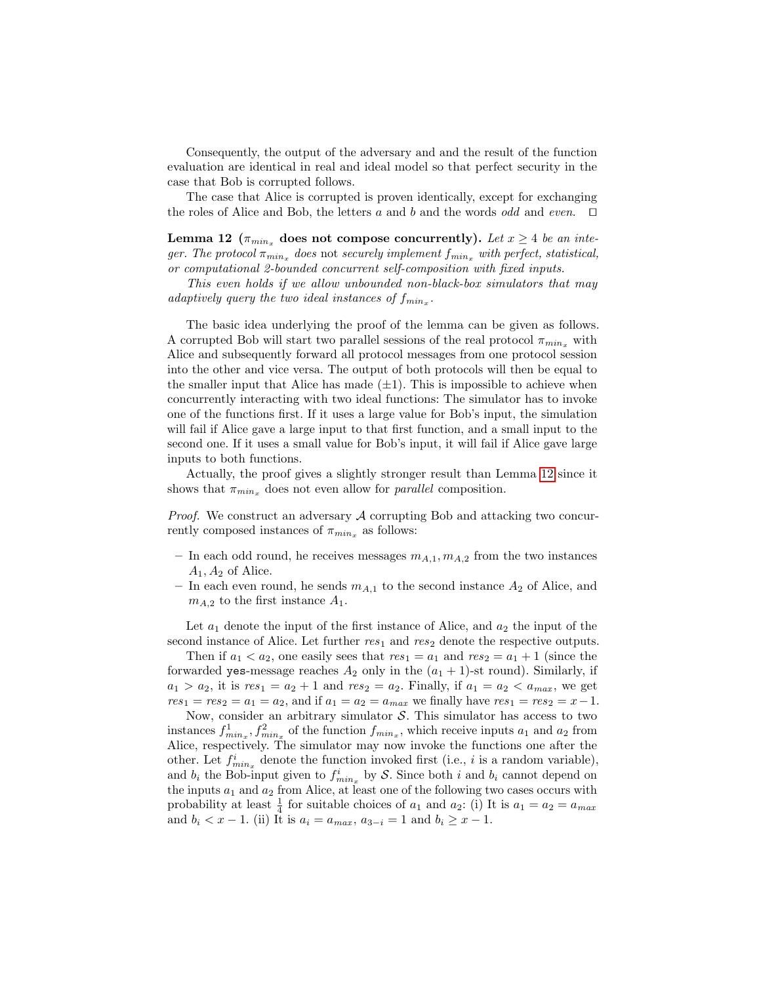Consequently, the output of the adversary and and the result of the function evaluation are identical in real and ideal model so that perfect security in the case that Bob is corrupted follows.

The case that Alice is corrupted is proven identically, except for exchanging the roles of Alice and Bob, the letters a and b and the words odd and even.  $\square$ 

<span id="page-12-0"></span>Lemma 12 ( $\pi_{min_x}$  does not compose concurrently). Let  $x \geq 4$  be an integer. The protocol  $\pi_{min_x}$  does not securely implement  $f_{min_x}$  with perfect, statistical, or computational 2-bounded concurrent self-composition with fixed inputs.

This even holds if we allow unbounded non-black-box simulators that may adaptively query the two ideal instances of  $f_{min_x}$ .

The basic idea underlying the proof of the lemma can be given as follows. A corrupted Bob will start two parallel sessions of the real protocol  $\pi_{min_{x}}$  with Alice and subsequently forward all protocol messages from one protocol session into the other and vice versa. The output of both protocols will then be equal to the smaller input that Alice has made  $(\pm 1)$ . This is impossible to achieve when concurrently interacting with two ideal functions: The simulator has to invoke one of the functions first. If it uses a large value for Bob's input, the simulation will fail if Alice gave a large input to that first function, and a small input to the second one. If it uses a small value for Bob's input, it will fail if Alice gave large inputs to both functions.

Actually, the proof gives a slightly stronger result than Lemma [12](#page-12-0) since it shows that  $\pi_{min_x}$  does not even allow for *parallel* composition.

*Proof.* We construct an adversary  $\mathcal A$  corrupting Bob and attacking two concurrently composed instances of  $\pi_{min_x}$  as follows:

- In each odd round, he receives messages  $m_{A,1}, m_{A,2}$  from the two instances  $A_1, A_2$  of Alice.
- In each even round, he sends  $m_{A,1}$  to the second instance  $A_2$  of Alice, and  $m_{A,2}$  to the first instance  $A_1$ .

Let  $a_1$  denote the input of the first instance of Alice, and  $a_2$  the input of the second instance of Alice. Let further  $res_1$  and  $res_2$  denote the respective outputs.

Then if  $a_1 < a_2$ , one easily sees that  $res_1 = a_1$  and  $res_2 = a_1 + 1$  (since the forwarded yes-message reaches  $A_2$  only in the  $(a_1 + 1)$ -st round). Similarly, if  $a_1 > a_2$ , it is  $res_1 = a_2 + 1$  and  $res_2 = a_2$ . Finally, if  $a_1 = a_2 < a_{max}$ , we get  $res_1 = res_2 = a_1 = a_2$ , and if  $a_1 = a_2 = a_{max}$  we finally have  $res_1 = res_2 = x-1$ .

<span id="page-12-2"></span><span id="page-12-1"></span>Now, consider an arbitrary simulator  $S$ . This simulator has access to two instances  $f_{min_x}^1, f_{min_x}^2$  of the function  $f_{min_x}$ , which receive inputs  $a_1$  and  $a_2$  from Alice, respectively. The simulator may now invoke the functions one after the other. Let  $f_{min_x}^i$  denote the function invoked first (i.e., *i* is a random variable), and  $b_i$  the Bob-input given to  $f_{min_x}^i$  by S. Since both i and  $b_i$  cannot depend on the inputs  $a_1$  and  $a_2$  from Alice, at least one of the following two cases occurs with probability at least  $\frac{1}{4}$  for suitable choices of  $a_1$  and  $a_2$ : (i) It is  $a_1 = a_2 = a_{max}$ and  $b_i < x - 1$ . (ii) It is  $a_i = a_{max}$ ,  $a_{3-i} = 1$  and  $b_i \geq x - 1$ .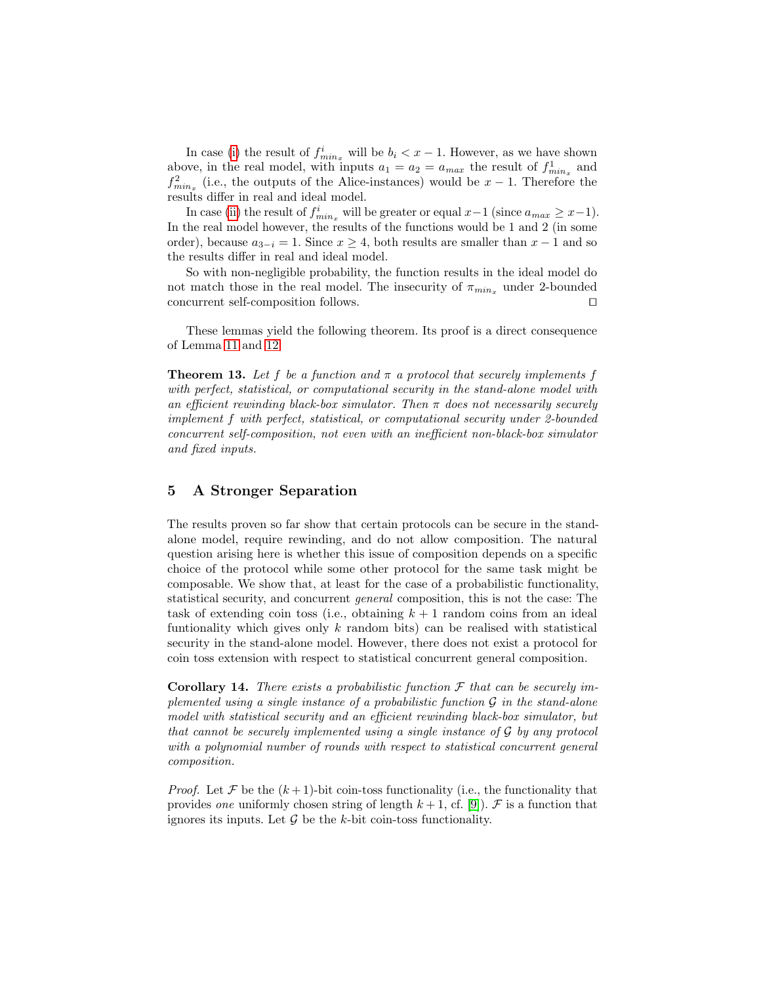In case [\(i\)](#page-12-1) the result of  $f_{min_x}^i$  will be  $b_i < x - 1$ . However, as we have shown above, in the real model, with inputs  $a_1 = a_2 = a_{max}$  the result of  $f_{min_x}^1$  and  $f_{min_x}^2$  (i.e., the outputs of the Alice-instances) would be  $x-1$ . Therefore the results differ in real and ideal model.

In case [\(ii\)](#page-12-2) the result of  $f_{min_x}^i$  will be greater or equal  $x-1$  (since  $a_{max} \geq x-1$ ). In the real model however, the results of the functions would be 1 and 2 (in some order), because  $a_{3-i} = 1$ . Since  $x \geq 4$ , both results are smaller than  $x - 1$  and so the results differ in real and ideal model.

So with non-negligible probability, the function results in the ideal model do not match those in the real model. The insecurity of  $\pi_{min_x}$  under 2-bounded concurrent self-composition follows.  $\Box$ 

These lemmas yield the following theorem. Its proof is a direct consequence of Lemma [11](#page-10-0) and [12.](#page-12-0)

**Theorem 13.** Let f be a function and  $\pi$  a protocol that securely implements f with perfect, statistical, or computational security in the stand-alone model with an efficient rewinding black-box simulator. Then  $\pi$  does not necessarily securely implement f with perfect, statistical, or computational security under 2-bounded concurrent self-composition, not even with an inefficient non-black-box simulator and fixed inputs.

# <span id="page-13-0"></span>5 A Stronger Separation

The results proven so far show that certain protocols can be secure in the standalone model, require rewinding, and do not allow composition. The natural question arising here is whether this issue of composition depends on a specific choice of the protocol while some other protocol for the same task might be composable. We show that, at least for the case of a probabilistic functionality, statistical security, and concurrent general composition, this is not the case: The task of extending coin toss (i.e., obtaining  $k + 1$  random coins from an ideal funtionality which gives only  $k$  random bits) can be realised with statistical security in the stand-alone model. However, there does not exist a protocol for coin toss extension with respect to statistical concurrent general composition.

**Corollary 14.** There exists a probabilistic function  $\mathcal F$  that can be securely implemented using a single instance of a probabilistic function  $\mathcal G$  in the stand-alone model with statistical security and an efficient rewinding black-box simulator, but that cannot be securely implemented using a single instance of  $\mathcal G$  by any protocol with a polynomial number of rounds with respect to statistical concurrent general composition.

*Proof.* Let F be the  $(k+1)$ -bit coin-toss functionality (i.e., the functionality that provides one uniformly chosen string of length  $k + 1$ , cf. [[9](#page-15-10)]).  $\mathcal F$  is a function that ignores its inputs. Let  $\mathcal G$  be the k-bit coin-toss functionality.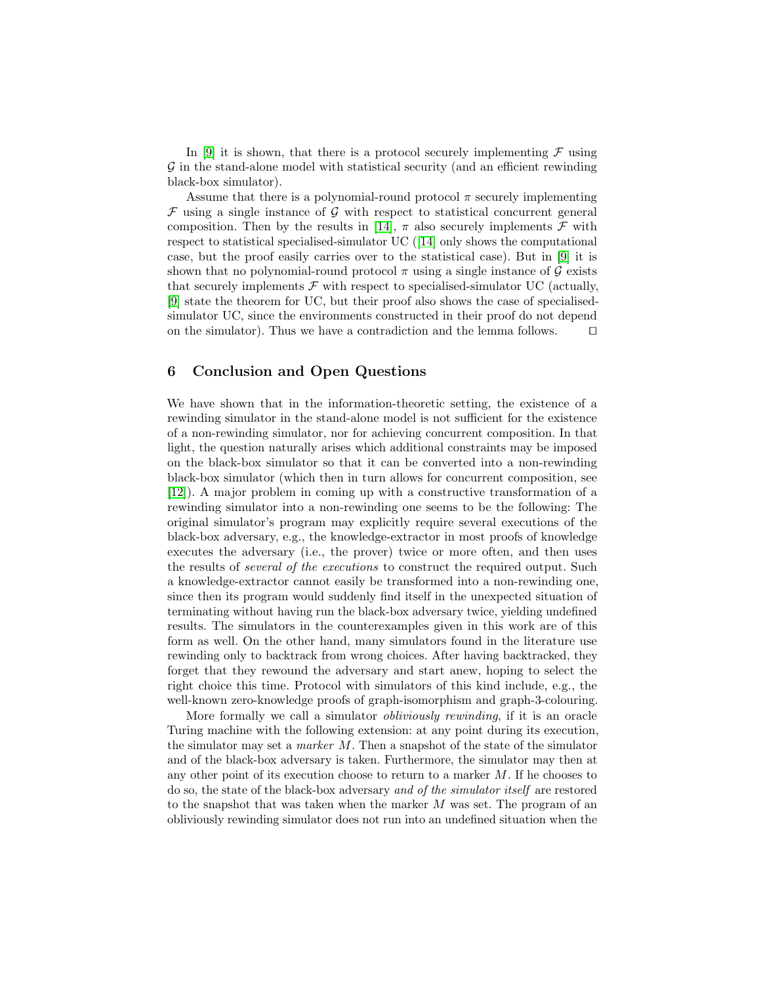In [[9](#page-15-10)] it is shown, that there is a protocol securely implementing  $\mathcal F$  using G in the stand-alone model with statistical security (and an efficient rewinding black-box simulator).

Assume that there is a polynomial-round protocol  $\pi$  securely implementing  $F$  using a single instance of  $G$  with respect to statistical concurrent general composition. Then by the results in [[14](#page-16-3)],  $\pi$  also securely implements  $\mathcal F$  with respect to statistical specialised-simulator UC ([[14](#page-16-3)] only shows the computational case, but the proof easily carries over to the statistical case). But in [[9](#page-15-10)] it is shown that no polynomial-round protocol  $\pi$  using a single instance of  $\mathcal G$  exists that securely implements  $\mathcal F$  with respect to specialised-simulator UC (actually, [[9](#page-15-10)] state the theorem for UC, but their proof also shows the case of specialisedsimulator UC, since the environments constructed in their proof do not depend on the simulator). Thus we have a contradiction and the lemma follows.  $\Box$ 

## 6 Conclusion and Open Questions

We have shown that in the information-theoretic setting, the existence of a rewinding simulator in the stand-alone model is not sufficient for the existence of a non-rewinding simulator, nor for achieving concurrent composition. In that light, the question naturally arises which additional constraints may be imposed on the black-box simulator so that it can be converted into a non-rewinding black-box simulator (which then in turn allows for concurrent composition, see [[12](#page-15-8)]). A major problem in coming up with a constructive transformation of a rewinding simulator into a non-rewinding one seems to be the following: The original simulator's program may explicitly require several executions of the black-box adversary, e.g., the knowledge-extractor in most proofs of knowledge executes the adversary (i.e., the prover) twice or more often, and then uses the results of *several of the executions* to construct the required output. Such a knowledge-extractor cannot easily be transformed into a non-rewinding one, since then its program would suddenly find itself in the unexpected situation of terminating without having run the black-box adversary twice, yielding undefined results. The simulators in the counterexamples given in this work are of this form as well. On the other hand, many simulators found in the literature use rewinding only to backtrack from wrong choices. After having backtracked, they forget that they rewound the adversary and start anew, hoping to select the right choice this time. Protocol with simulators of this kind include, e.g., the well-known zero-knowledge proofs of graph-isomorphism and graph-3-colouring.

More formally we call a simulator obliviously rewinding, if it is an oracle Turing machine with the following extension: at any point during its execution, the simulator may set a *marker*  $M$ . Then a snapshot of the state of the simulator and of the black-box adversary is taken. Furthermore, the simulator may then at any other point of its execution choose to return to a marker  $M$ . If he chooses to do so, the state of the black-box adversary and of the simulator itself are restored to the snapshot that was taken when the marker M was set. The program of an obliviously rewinding simulator does not run into an undefined situation when the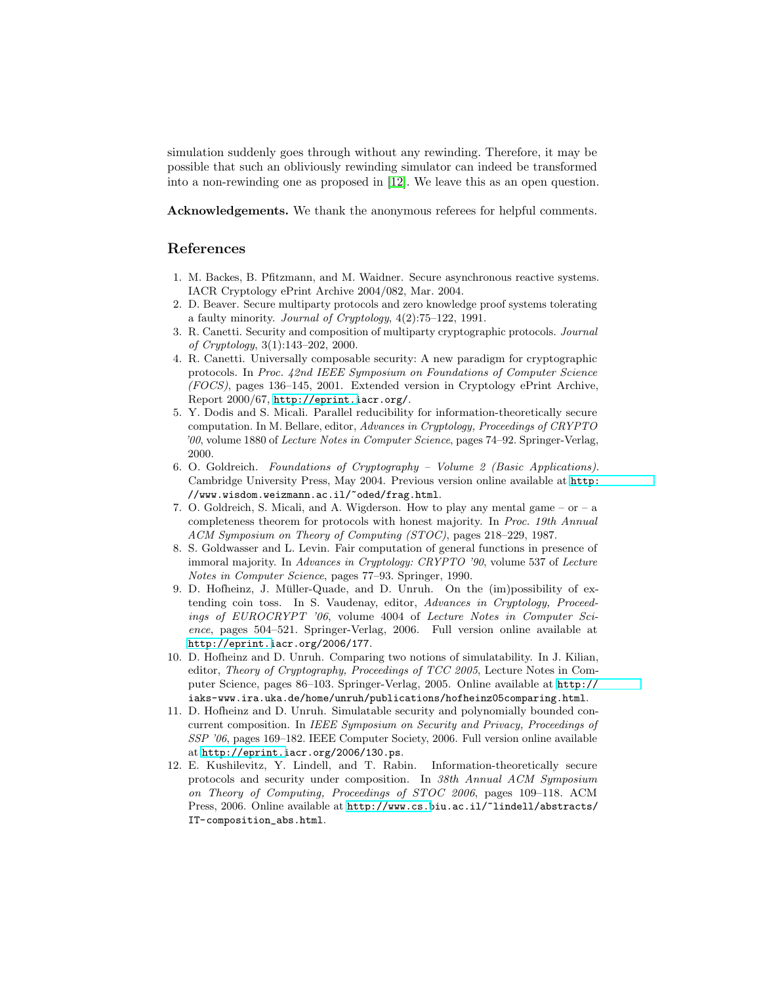simulation suddenly goes through without any rewinding. Therefore, it may be possible that such an obliviously rewinding simulator can indeed be transformed into a non-rewinding one as proposed in [[12](#page-15-8)]. We leave this as an open question.

Acknowledgements. We thank the anonymous referees for helpful comments.

## References

- <span id="page-15-5"></span>1. M. Backes, B. Pfitzmann, and M. Waidner. Secure asynchronous reactive systems. IACR Cryptology ePrint Archive 2004/082, Mar. 2004.
- <span id="page-15-2"></span>2. D. Beaver. Secure multiparty protocols and zero knowledge proof systems tolerating a faulty minority. Journal of Cryptology, 4(2):75–122, 1991.
- <span id="page-15-3"></span>3. R. Canetti. Security and composition of multiparty cryptographic protocols. Journal of Cryptology, 3(1):143–202, 2000.
- <span id="page-15-4"></span>4. R. Canetti. Universally composable security: A new paradigm for cryptographic protocols. In Proc. 42nd IEEE Symposium on Foundations of Computer Science (FOCS), pages 136–145, 2001. Extended version in Cryptology ePrint Archive, Report 2000/67, [http://eprint.i](http://eprint.iacr.org/)acr.org/.
- <span id="page-15-9"></span>5. Y. Dodis and S. Micali. Parallel reducibility for information-theoretically secure computation. In M. Bellare, editor, Advances in Cryptology, Proceedings of CRYPTO '00, volume 1880 of Lecture Notes in Computer Science, pages 74–92. Springer-Verlag, 2000.
- <span id="page-15-11"></span>6. O. Goldreich. Foundations of Cryptography – Volume 2 (Basic Applications). Cambridge University Press, May 2004. Previous version online available at [http:](http://www.wisdom.weizmann.ac.il/~oded/frag.html) //www.wisdom.weizmann.ac.il/~oded/frag.html.
- <span id="page-15-0"></span>7. O. Goldreich, S. Micali, and A. Wigderson. How to play any mental game – or – a completeness theorem for protocols with honest majority. In Proc. 19th Annual ACM Symposium on Theory of Computing (STOC), pages 218–229, 1987.
- <span id="page-15-1"></span>8. S. Goldwasser and L. Levin. Fair computation of general functions in presence of immoral majority. In Advances in Cryptology: CRYPTO '90, volume 537 of Lecture Notes in Computer Science, pages 77–93. Springer, 1990.
- <span id="page-15-10"></span>9. D. Hofheinz, J. Müller-Quade, and D. Unruh. On the (im)possibility of extending coin toss. In S. Vaudenay, editor, Advances in Cryptology, Proceedings of EUROCRYPT '06, volume 4004 of Lecture Notes in Computer Science, pages 504–521. Springer-Verlag, 2006. Full version online available at [http://eprint.i](http://eprint.iacr.org/2006/177)acr.org/2006/177.
- <span id="page-15-6"></span>10. D. Hofheinz and D. Unruh. Comparing two notions of simulatability. In J. Kilian, editor, Theory of Cryptography, Proceedings of TCC 2005, Lecture Notes in Computer Science, pages 86–103. Springer-Verlag, 2005. Online available at [http://](http://iaks-www.ira.uka.de/home/unruh/publications/hofheinz05comparing.html) iaks-www.ira.uka.de/home/unruh/publications/hofheinz05comparing.html.
- <span id="page-15-7"></span>11. D. Hofheinz and D. Unruh. Simulatable security and polynomially bounded concurrent composition. In IEEE Symposium on Security and Privacy, Proceedings of SSP '06, pages 169–182. IEEE Computer Society, 2006. Full version online available at [http://eprint.i](http://eprint.iacr.org/2006/130.ps)acr.org/2006/130.ps.
- <span id="page-15-8"></span>12. E. Kushilevitz, Y. Lindell, and T. Rabin. Information-theoretically secure protocols and security under composition. In 38th Annual ACM Symposium on Theory of Computing, Proceedings of STOC 2006, pages 109–118. ACM Press, 2006. Online available at [http://www.cs.b](http://www.cs.biu.ac.il/~lindell/abstracts/IT-composition_abs.html)iu.ac.il/~lindell/abstracts/ IT-composition\_abs.html.